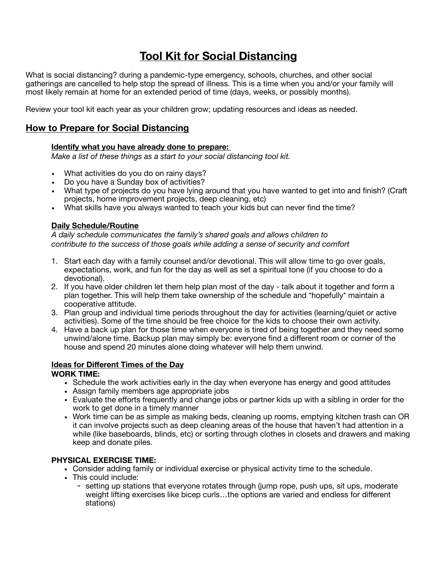# **Tool Kit for Social Distancing**

What is social distancing? during a pandemic-type emergency, schools, churches, and other social gatherings are cancelled to help stop the spread of illness. This is a time when you and/or your family will most likely remain at home for an extended period of time (days, weeks, or possibly months).

Review your tool kit each year as your children grow; updating resources and ideas as needed.

### **How to Prepare for Social Distancing**

#### **Identify what you have already done to prepare:**

*Make a list of these things as a start to your social distancing tool kit.* 

- What activities do you do on rainy days?
- Do you have a Sunday box of activities?
- What type of projects do you have lying around that you have wanted to get into and finish? (Craft projects, home improvement projects, deep cleaning, etc)
- What skills have you always wanted to teach your kids but can never find the time?

#### **Daily Schedule/Routine**

A daily schedule communicates the family's shared goals and allows children to *contribute to the success of those goals while adding a sense of security and comfort*

- 1. Start each day with a family counsel and/or devotional. This will allow time to go over goals, expectations, work, and fun for the day as well as set a spiritual tone (if you choose to do a devotional).
- 2. If you have older children let them help plan most of the day talk about it together and form a plan together. This will help them take ownership of the schedule and \*hopefully\* maintain a cooperative attitude.
- 3. Plan group and individual time periods throughout the day for activities (learning/quiet or active activities). Some of the time should be free choice for the kids to choose their own activity.
- 4. Have a back up plan for those time when everyone is tired of being together and they need some unwind/alone time. Backup plan may simply be: everyone find a different room or corner of the house and spend 20 minutes alone doing whatever will help them unwind.

#### **Ideas for Different Times of the Day**

#### **WORK TIME:**

- Schedule the work activities early in the day when everyone has energy and good attitudes
- Assign family members age appropriate jobs
- Evaluate the efforts frequently and change jobs or partner kids up with a sibling in order for the work to get done in a timely manner
- Work time can be as simple as making beds, cleaning up rooms, emptying kitchen trash can OR it can involve projects such as deep cleaning areas of the house that haven't had attention in a while (like baseboards, blinds, etc) or sorting through clothes in closets and drawers and making keep and donate piles.

#### **PHYSICAL EXERCISE TIME:**

- Consider adding family or individual exercise or physical activity time to the schedule.
- This could include:
	- setting up stations that everyone rotates through (jump rope, push ups, sit ups, moderate weight lifting exercises like bicep curls…the options are varied and endless for different stations)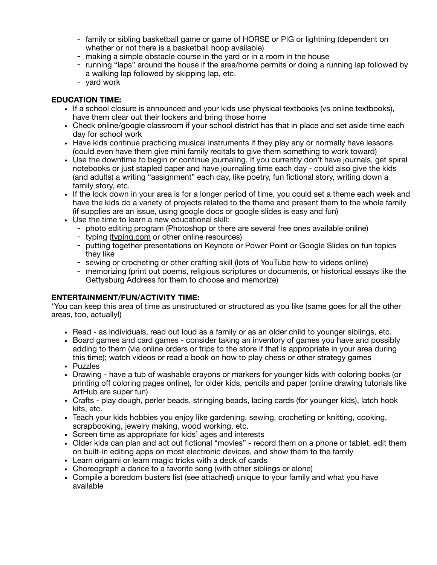- family or sibling basketball game or game of HORSE or PIG or lightning (dependent on whether or not there is a basketball hoop available)
- making a simple obstacle course in the yard or in a room in the house
- running "laps" around the house if the area/home permits or doing a running lap followed by a walking lap followed by skipping lap, etc.
- yard work

#### **EDUCATION TIME:**

- If a school closure is announced and your kids use physical textbooks (vs online textbooks), have them clear out their lockers and bring those home
- Check online/google classroom if your school district has that in place and set aside time each day for school work
- Have kids continue practicing musical instruments if they play any or normally have lessons (could even have them give mini family recitals to give them something to work toward)
- Use the downtime to begin or continue journaling. If you currently don't have journals, get spiral notebooks or just stapled paper and have journaling time each day - could also give the kids (and adults) a writing "assignment" each day, like poetry, fun fictional story, writing down a family story, etc.
- If the lock down in your area is for a longer period of time, you could set a theme each week and have the kids do a variety of projects related to the theme and present them to the whole family (if supplies are an issue, using google docs or google slides is easy and fun)
- Use the time to learn a new educational skill:
	- photo editing program (Photoshop or there are several free ones available online)
	- typing [\(typing.com](http://typing.com) or other online resources)
	- putting together presentations on Keynote or Power Point or Google Slides on fun topics they like
	- sewing or crocheting or other crafting skill (lots of YouTube how-to videos online)
	- memorizing (print out poems, religious scriptures or documents, or historical essays like the Gettysburg Address for them to choose and memorize)

#### **ENTERTAINMENT/FUN/ACTIVITY TIME:**

\*You can keep this area of time as unstructured or structured as you like (same goes for all the other areas, too, actually!) 

- Read as individuals, read out loud as a family or as an older child to younger siblings, etc.
- Board games and card games consider taking an inventory of games you have and possibly adding to them (via online orders or trips to the store if that is appropriate in your area during this time); watch videos or read a book on how to play chess or other strategy games
- Puzzles
- Drawing have a tub of washable crayons or markers for younger kids with coloring books (or printing off coloring pages online), for older kids, pencils and paper (online drawing tutorials like ArtHub are super fun)
- Crafts play dough, perler beads, stringing beads, lacing cards (for younger kids), latch hook kits, etc.
- Teach your kids hobbies you enjoy like gardening, sewing, crocheting or knitting, cooking, scrapbooking, jewelry making, wood working, etc.
- Screen time as appropriate for kids' ages and interests
- Older kids can plan and act out fictional "movies" record them on a phone or tablet, edit them on built-in editing apps on most electronic devices, and show them to the family
- Learn origami or learn magic tricks with a deck of cards
- Choreograph a dance to a favorite song (with other siblings or alone)
- Compile a boredom busters list (see attached) unique to your family and what you have available